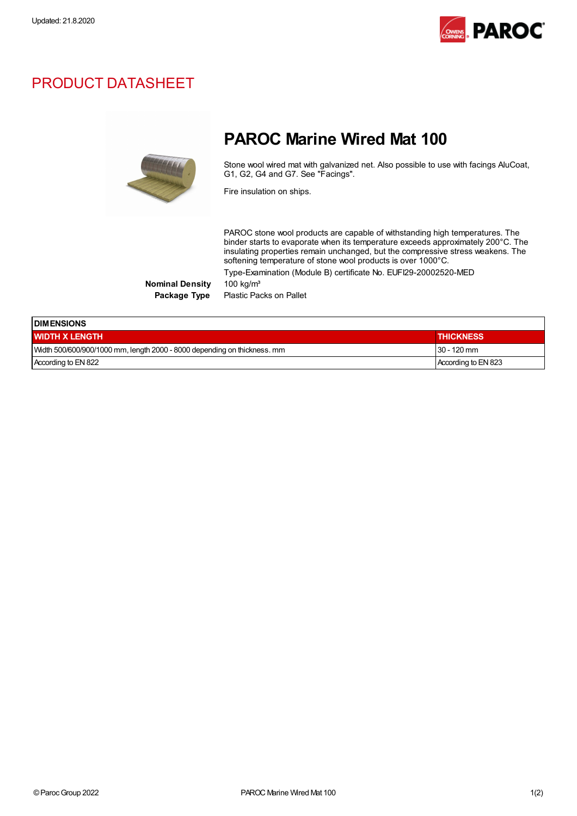

## PRODUCT DATASHEET



## PAROC Marine Wired Mat 100

Stone wool wired mat with galvanized net. Also possible to use with facings AluCoat, G1, G2, G4 and G7. See "Facings".

Fire insulation on ships.

PAROC stone wool products are capable of withstanding high temperatures. The binder starts to evaporate when its temperature exceeds approximately 200°C. The insulating properties remain unchanged, but the compressive stress weakens. The softening temperature of stone wool products is over 1000°C. Type-Examination (Module B) certificate No. EUFI29-20002520-MED

**Nominal Density** 

Package Type Plastic Packs on Pallet

| <b>IDIMENSIONS</b>                                                       |                     |  |
|--------------------------------------------------------------------------|---------------------|--|
| <b>WIDTH X LENGTH</b>                                                    | <b>THICKNESS</b>    |  |
| Width 500/600/900/1000 mm, length 2000 - 8000 depending on thickness. mm | $30 - 120$ mm       |  |
| According to EN 822                                                      | According to EN 823 |  |